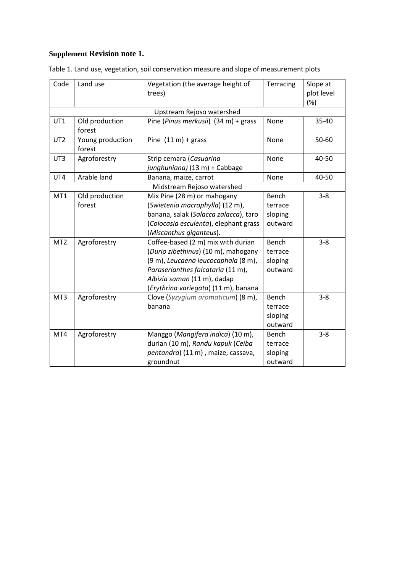## **Supplement Revision note 1.**

| Code                   | Land use                                 | Vegetation (the average height of<br>trees)                                                                                                                                                                                                                                                                                                                                                                 | Terracing                                                                        | Slope at<br>plot level<br>(%) |
|------------------------|------------------------------------------|-------------------------------------------------------------------------------------------------------------------------------------------------------------------------------------------------------------------------------------------------------------------------------------------------------------------------------------------------------------------------------------------------------------|----------------------------------------------------------------------------------|-------------------------------|
|                        |                                          | Upstream Rejoso watershed                                                                                                                                                                                                                                                                                                                                                                                   |                                                                                  |                               |
| UT1                    | Old production<br>forest                 | Pine (Pinus merkusii) (34 m) + grass                                                                                                                                                                                                                                                                                                                                                                        | None                                                                             | 35-40                         |
| UT <sub>2</sub>        | Young production<br>forest               | Pine $(11 \text{ m}) +$ grass                                                                                                                                                                                                                                                                                                                                                                               | None                                                                             | 50-60                         |
| UT3                    | Agroforestry                             | Strip cemara (Casuarina<br>junghuniana) (13 m) + Cabbage                                                                                                                                                                                                                                                                                                                                                    | None                                                                             | 40-50                         |
| UT4                    | Arable land                              | Banana, maize, carrot                                                                                                                                                                                                                                                                                                                                                                                       | None                                                                             | 40-50                         |
|                        |                                          | Midstream Rejoso watershed                                                                                                                                                                                                                                                                                                                                                                                  |                                                                                  |                               |
| MT1<br>MT <sub>2</sub> | Old production<br>forest<br>Agroforestry | Mix Pine (28 m) or mahogany<br>(Swietenia macrophylla) (12 m),<br>banana, salak (Salacca zalacca), taro<br>(Colocasia esculenta), elephant grass<br>(Miscanthus giganteus).<br>Coffee-based (2 m) mix with durian<br>(Durio zibethinus) (10 m), mahogany<br>(9 m), Leucaena leucocaphala (8 m),<br>Paraserianthes falcataria (11 m),<br>Albizia saman (11 m), dadap<br>(Erythrina variegata) (11 m), banana | Bench<br>terrace<br>sloping<br>outward<br>Bench<br>terrace<br>sloping<br>outward | $3 - 8$<br>$3 - 8$            |
| MT3                    | Agroforestry                             | Clove (Syzygium aromaticum) (8 m),<br>banana                                                                                                                                                                                                                                                                                                                                                                | Bench<br>terrace<br>sloping<br>outward                                           | $3 - 8$                       |
| MT4                    | Agroforestry                             | Manggo (Mangifera indica) (10 m),<br>durian (10 m), Randu kapuk (Ceiba<br>pentandra) (11 m), maize, cassava,<br>groundnut                                                                                                                                                                                                                                                                                   | Bench<br>terrace<br>sloping<br>outward                                           | $3 - 8$                       |

Table 1. Land use, vegetation, soil conservation measure and slope of measurement plots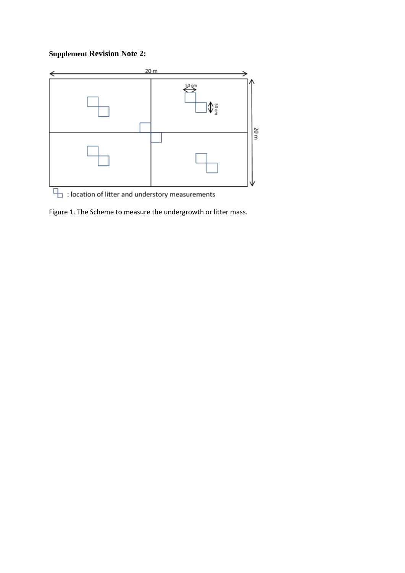## **Supplement Revision Note 2:**



Figure 1. The Scheme to measure the undergrowth or litter mass.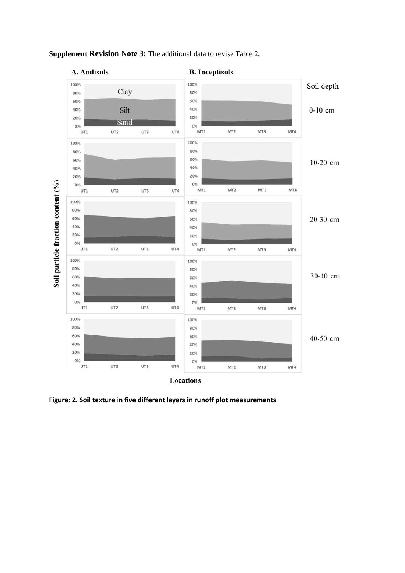

### **Supplement Revision Note 3:** The additional data to revise Table 2.

**Figure: 2. Soil texture in five different layers in runoff plot measurements**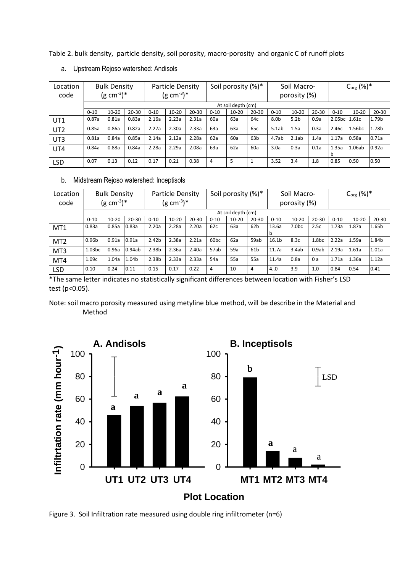Table 2. bulk density, particle density, soil porosity, macro-porosity and organic C of runoff plots

| Location        | <b>Bulk Density</b> |           | <b>Particle Density</b> |          |           | Soil porosity (%)* |          |           | Soil Macro-     |          |                  | $C_{org}$ (%)* |                    |                    |           |
|-----------------|---------------------|-----------|-------------------------|----------|-----------|--------------------|----------|-----------|-----------------|----------|------------------|----------------|--------------------|--------------------|-----------|
| code            | $(g cm^{-3})^*$     |           | $(g cm^{-3})^*$         |          |           |                    |          |           | porosity (%)    |          |                  |                |                    |                    |           |
|                 | At soil depth (cm)  |           |                         |          |           |                    |          |           |                 |          |                  |                |                    |                    |           |
|                 | $0 - 10$            | $10 - 20$ | $20 - 30$               | $0 - 10$ | $10 - 20$ | $20 - 30$          | $0 - 10$ | $10 - 20$ | $20 - 30$       | $0 - 10$ | $10 - 20$        | $20 - 30$      | $0 - 10$           | $10 - 20$          | $20 - 30$ |
| UT1             | 0.87a               | 0.81a     | 0.83a                   | 2.16a    | 2.23a     | 2.31a              | 60a      | 63a       | 64c             | 8.0b     | 5.2 <sub>b</sub> | 0.9a           | 2.05 <sub>bc</sub> | 1.61c              | 1.79b     |
| UT <sub>2</sub> | 0.85a               | 0.86a     | 0.82a                   | 2.27a    | 2.30a     | 2.33a              | 63a      | 63a       | 65c             | 5.1ab    | 1.5a             | 0.3a           | 2.46c              | 1.56 <sub>bc</sub> | 1.78b     |
| UT3             | 0.81a               | 0.84a     | 0.85a                   | 2.14a    | 2.12a     | 2.28a              | 62a      | 60a       | 63 <sub>b</sub> | 4.7ab    | 2.1ab            | 1.4a           | 1.17a              | 0.58a              | 0.71a     |
| UT4             | 0.84a               | 0.88a     | 0.84a                   | 2.28a    | 2.29a     | 2.08a              | 63a      | 62a       | 60a             | 3.0a     | 0.3a             | 0.1a           | 1.35a              | 1.06ab             | 0.92a     |
| <b>LSD</b>      | 0.07                | 0.13      | 0.12                    | 0.17     | 0.21      | 0.38               | 4        | 5         |                 | 3.52     | 3.4              | 1.8            | 0.85               | 0.50               | 0.50      |

a. Upstream Rejoso watershed: Andisols

### b. Midstream Rejoso watershed: Inceptisols

| Location        | <b>Bulk Density</b> |           | Particle Density   |                   |           | Soil porosity (%)* |                  |              | Soil Macro-     |                   |                  | $C_{org}$ (%)*    |          |           |           |
|-----------------|---------------------|-----------|--------------------|-------------------|-----------|--------------------|------------------|--------------|-----------------|-------------------|------------------|-------------------|----------|-----------|-----------|
| code            | $(g cm^{-3})^*$     |           | $(g \, cm^{-3})^*$ |                   |           |                    |                  | porosity (%) |                 |                   |                  |                   |          |           |           |
|                 | At soil depth (cm)  |           |                    |                   |           |                    |                  |              |                 |                   |                  |                   |          |           |           |
|                 | $0 - 10$            | $10 - 20$ | $20 - 30$          | $0 - 10$          | $10 - 20$ | $20 - 30$          | $0 - 10$         | $10 - 20$    | $20 - 30$       | $0 - 10$          | $10 - 20$        | $20 - 30$         | $0 - 10$ | $10 - 20$ | $20 - 30$ |
| MT1             | 0.83a               | 0.85a     | 0.83a              | 2.20a             | 2.28a     | 2.20a              | 62c              | 63a          | 62 <sub>b</sub> | 13.6a             | 7.0 <sub>b</sub> | 2.5c              | 1.73a    | 1.87a     | 1.65b     |
|                 |                     |           |                    |                   |           |                    |                  |              |                 | n                 |                  |                   |          |           |           |
| MT <sub>2</sub> | 0.96b               | 0.91a     | 0.91a              | 2.42 <sub>b</sub> | 2.38a     | 2.21a              | 60 <sub>bc</sub> | 62a          | 59ab            | 16.1 <sub>b</sub> | 8.3c             | 1.8 <sub>bc</sub> | 2.22a    | 1.59a     | 1.84b     |
| MT3             | 1.03 <sub>bc</sub>  | 0.96a     | 0.94ab             | 2.38b             | 2.36a     | 2.40a              | 57ab             | 59a          | 61 <sub>b</sub> | 11.7a             | 3.4ab            | 0.9ab             | 2.19a    | 1.61a     | 1.01a     |
| MT4             | 1.09c               | 1.04a     | 1.04b              | 2.38b             | 2.33a     | 2.33a              | 54a              | 55a          | 55a             | 11.4a             | 0.8a             | 0a                | 1.71a    | 1.36a     | 1.12a     |
| <b>LSD</b>      | 0.10                | 0.24      | 0.11               | 0.15              | 0.17      | 0.22               | 4                | 10           | 4               | 4.0               | 3.9              | 1.0               | 0.84     | 0.54      | 0.41      |

\*The same letter indicates no statistically significant differences between location with Fisher's LSD test (p<0.05).

Note: soil macro porosity measured using metyline blue method, will be describe in the Material and Method



Figure 3. Soil Infiltration rate measured using double ring infiltrometer (n=6)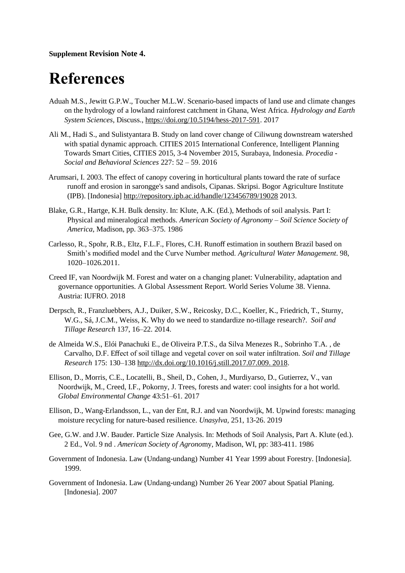### **Supplement Revision Note 4.**

# **References**

- Aduah M.S., Jewitt G.P.W., Toucher M.L.W. Scenario-based impacts of land use and climate changes on the hydrology of a lowland rainforest catchment in Ghana, West Africa. *Hydrology and Earth System Sciences*, Discuss.[, https://doi.org/10.5194/hess-2017-591.](https://doi.org/10.5194/hess-2017-591) 2017
- Ali M., Hadi S., and Sulistyantara B. Study on land cover change of Ciliwung downstream watershed with spatial dynamic approach. CITIES 2015 International Conference, Intelligent Planning Towards Smart Cities, CITIES 2015, 3-4 November 2015, Surabaya, Indonesia. *Procedia - Social and Behavioral Sciences* 227: 52 – 59. 2016
- Arumsari, I. 2003. The effect of canopy covering in horticultural plants toward the rate of surface runoff and erosion in sarongge's sand andisols, Cipanas. Skripsi. Bogor Agriculture Institute (IPB). [Indonesia]<http://repository.ipb.ac.id/handle/123456789/19028> 2013.
- Blake, G.R., Hartge, K.H. Bulk density. In: Klute, A.K. (Ed.), Methods of soil analysis. Part I: Physical and mineralogical methods. *American Society of Agronomy – Soil Science Society of America*, Madison, pp. 363–375. 1986
- Carlesso, R., Spohr, R.B., Eltz, F.L.F., Flores, C.H. Runoff estimation in southern Brazil based on Smith's modified model and the Curve Number method. *Agricultural Water Management*. 98, 1020–1026.2011.
- Creed IF, van Noordwijk M. Forest and water on a changing planet: Vulnerability, adaptation and governance opportunities. A Global Assessment Report. World Series Volume 38. Vienna. Austria: IUFRO. 2018
- Derpsch, R., Franzluebbers, A.J., Duiker, S.W., Reicosky, D.C., Koeller, K., Friedrich, T., Sturny, W.G., Sá, J.C.M., Weiss, K. Why do we need to standardize no-tillage research?. *Soil and Tillage Research* 137, 16–22. 2014.
- de Almeida W.S., Elói Panachuki E., de Oliveira P.T.S., da Silva Menezes R., Sobrinho T.A. , de Carvalho, D.F. Effect of soil tillage and vegetal cover on soil water infiltration. *Soil and Tillage Research* 175: 130–13[8 http://dx.doi.org/10.1016/j.still.2017.07.009. 2018.](http://dx.doi.org/10.1016/j.still.2017.07.009.%202018)
- Ellison, D., Morris, C.E., Locatelli, B., Sheil, D., Cohen, J., Murdiyarso, D., Gutierrez, V., van Noordwijk, M., Creed, I.F., Pokorny, J. Trees, forests and water: cool insights for a hot world. *Global Environmental Change* 43:51–61. 2017
- Ellison, D., Wang-Erlandsson, L., van der Ent, R.J. and van Noordwijk, M. Upwind forests: managing moisture recycling for nature-based resilience. *Unasylva,* 251, 13-26. 2019
- Gee, G.W. and J.W. Bauder. Particle Size Analysis. In: Methods of Soil Analysis, Part A. Klute (ed.). 2 Ed., Vol. 9 nd . *American Society of Agrono*my, Madison, WI, pp: 383-411. 1986
- Government of Indonesia. Law (Undang-undang) Number 41 Year 1999 about Forestry. [Indonesia]. 1999.
- Government of Indonesia. Law (Undang-undang) Number 26 Year 2007 about Spatial Planing. [Indonesia]. 2007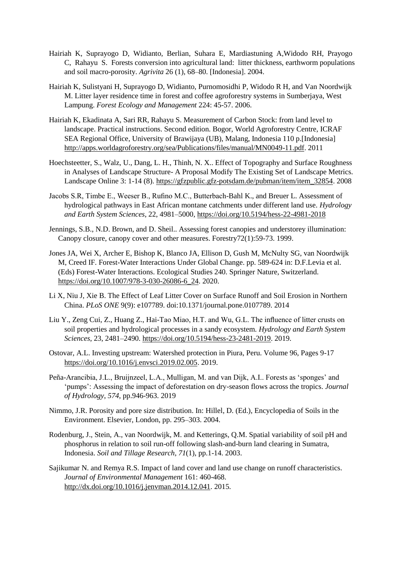- Hairiah K, Suprayogo D, Widianto, Berlian, Suhara E, Mardiastuning A,Widodo RH, Prayogo C, Rahayu S. Forests conversion into agricultural land: litter thickness, earthworm populations and soil macro-porosity. *Agrivita* 26 (1), 68–80. [Indonesia]. 2004.
- Hairiah K, Sulistyani H, Suprayogo D, Widianto, Purnomosidhi P, Widodo R H, and Van Noordwijk M. Litter layer residence time in forest and coffee agroforestry systems in Sumberjaya, West Lampung. *Forest Ecology and Management* 224: 45-57. 2006.
- Hairiah K, Ekadinata A, Sari RR, Rahayu S. Measurement of Carbon Stock: from land level to landscape. Practical instructions. Second edition. Bogor, World Agroforestry Centre, ICRAF SEA Regional Office, University of Brawijaya (UB), Malang, Indonesia 110 p.[Indonesia] [http://apps.worldagroforestry.org/sea/Publications/files/manual/MN0049-11.pdf.](http://apps.worldagroforestry.org/sea/Publications/files/manual/MN0049-11.pdf) 2011
- Hoechsteetter, S., Walz, U., Dang, L. H., Thinh, N. X.. Effect of Topography and Surface Roughness in Analyses of Landscape Structure- A Proposal Modify The Existing Set of Landscape Metrics. Landscape Online 3: 1-14 (8). [https://gfzpublic.gfz-potsdam.de/pubman/item/item\\_32854.](https://gfzpublic.gfz-potsdam.de/pubman/item/item_32854) 2008
- Jacobs S.R, Timbe E., Weeser B., Rufino M.C., Butterbach-Bahl K., and Breuer L. Assessment of hydrological pathways in East African montane catchments under different land use. *Hydrology and Earth System Sciences*, 22, 4981–5000[, https://doi.org/10.5194/hess-22-4981-2018](https://doi.org/10.5194/hess-22-4981-2018)
- Jennings, S.B., N.D. Brown, and D. Sheil.. Assessing forest canopies and understorey illumination: Canopy closure, canopy cover and other measures. Forestry72(1):59-73. 1999.
- Jones JA, Wei X, Archer E, Bishop K, Blanco JA, Ellison D, Gush M, McNulty SG, van Noordwijk M, Creed IF. Forest-Water Interactions Under Global Change. pp. 589-624 in: D.F.Levia et al. (Eds) Forest-Water Interactions. Ecological Studies 240. Springer Nature, Switzerland. [https://doi.org/10.1007/978-3-030-26086-6\\_24.](https://doi.org/10.1007/978-3-030-26086-6_24) 2020.
- Li X, Niu J, Xie B. The Effect of Leaf Litter Cover on Surface Runoff and Soil Erosion in Northern China. *PLoS ONE* 9(9): e107789. doi:10.1371/journal.pone.0107789. 2014
- Liu Y., Zeng Cui, Z., Huang Z., Hai-Tao Miao, H.T. and Wu, G.L. The influence of litter crusts on soil properties and hydrological processes in a sandy ecosystem. *Hydrology and Earth System Sciences*, 23, 2481–2490. [https://doi.org/10.5194/hess-23-2481-2019.](https://doi.org/10.5194/hess-23-2481-2019) 2019.
- Ostovar, A.L. Investing upstream: Watershed protection in Piura, Peru. Volume 96, Pages 9-17 [https://doi.org/10.1016/j.envsci.2019.02.005.](https://doi.org/10.1016/j.envsci.2019.02.005) 2019.
- Peña-Arancibia, J.L., Bruijnzeel, L.A., Mulligan, M. and van Dijk, A.I.. Forests as 'sponges' and 'pumps': Assessing the impact of deforestation on dry-season flows across the tropics. *Journal of Hydrology*, *574*, pp.946-963. 2019
- Nimmo, J.R. Porosity and pore size distribution. In: Hillel, D. (Ed.), Encyclopedia of Soils in the Environment. Elsevier, London, pp. 295–303. 2004.
- Rodenburg, J., Stein, A., van Noordwijk, M. and Ketterings, Q.M. Spatial variability of soil pH and phosphorus in relation to soil run-off following slash-and-burn land clearing in Sumatra, Indonesia. *Soil and Tillage Research*, *71*(1), pp.1-14. 2003.
- Sajikumar N. and Remya R.S. Impact of land cover and land use change on runoff characteristics. *Journal of Environmental Management* 161: 460-468. [http://dx.doi.org/10.1016/j.jenvman.2014.12.041.](http://dx.doi.org/10.1016/j.jenvman.2014.12.041) 2015.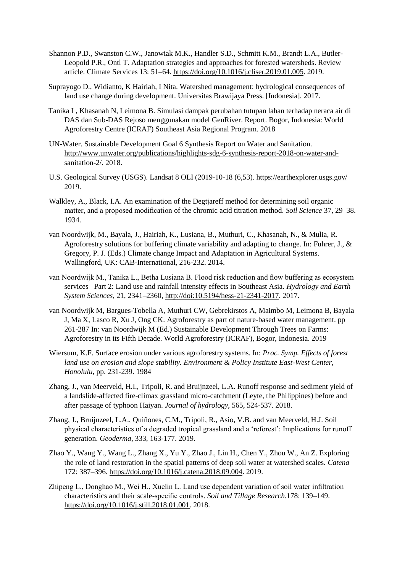- Shannon P.D., Swanston C.W., Janowiak M.K., Handler S.D., Schmitt K.M., Brandt L.A., Butler-Leopold P.R., Ontl T. Adaptation strategies and approaches for forested watersheds. Review article. Climate Services 13: 51–64. [https://doi.org/10.1016/j.cliser.2019.01.005.](https://doi.org/10.1016/j.cliser.2019.01.005) 2019.
- Suprayogo D., Widianto, K Hairiah, I Nita. Watershed management: hydrological consequences of land use change during development. Universitas Brawijaya Press. [Indonesia]. 2017.
- Tanika L, Khasanah N, Leimona B. Simulasi dampak perubahan tutupan lahan terhadap neraca air di DAS dan Sub-DAS Rejoso menggunakan model GenRiver. Report. Bogor, Indonesia: World Agroforestry Centre (ICRAF) Southeast Asia Regional Program. 2018
- UN-Water. Sustainable Development Goal 6 Synthesis Report on Water and Sanitation. [http://www.unwater.org/publications/highlights-sdg-6-synthesis-report-2018-on-water-and](http://www.unwater.org/publications/highlights-sdg-6-synthesis-report-2018-on-water-and-sanitation-2/)[sanitation-2/.](http://www.unwater.org/publications/highlights-sdg-6-synthesis-report-2018-on-water-and-sanitation-2/) 2018.
- U.S. Geological Survey (USGS). Landsat 8 OLI (2019-10-18 (6,53).<https://earthexplorer.usgs.gov/> 2019.
- Walkley, A., Black, I.A. An examination of the Degtjareff method for determining soil organic matter, and a proposed modification of the chromic acid titration method. *Soil Science* 37, 29–38. 1934.
- van Noordwijk, M., Bayala, J., Hairiah, K., Lusiana, B., Muthuri, C., Khasanah, N., & Mulia, R. Agroforestry solutions for buffering climate variability and adapting to change. In: Fuhrer, J.,  $\&$ Gregory, P. J. (Eds.) Climate change Impact and Adaptation in Agricultural Systems. Wallingford, UK: CAB-International, 216-232. 2014.
- van Noordwijk M., Tanika L., Betha Lusiana B. Flood risk reduction and flow buffering as ecosystem services –Part 2: Land use and rainfall intensity effects in Southeast Asia. *Hydrology and Earth System Sciences*, 21, 2341–2360[, http://doi:10.5194/hess-21-2341-2017.](http://doi:10.5194/hess-21-2341-2017) 2017.
- van Noordwijk M, Bargues-Tobella A, Muthuri CW, Gebrekirstos A, Maimbo M, Leimona B, Bayala J, Ma X, Lasco R, Xu J, Ong CK. Agroforestry as part of nature-based water management. pp 261-287 In: van Noordwijk M (Ed.) Sustainable Development Through Trees on Farms: Agroforestry in its Fifth Decade. World Agroforestry (ICRAF), Bogor, Indonesia. 2019
- Wiersum, K.F. Surface erosion under various agroforestry systems. In: *Proc. Symp. Effects of forest land use on erosion and slope stability. Environment & Policy Institute East-West Center, Honolulu*, pp. 231-239. 1984
- Zhang, J., van Meerveld, H.I., Tripoli, R. and Bruijnzeel, L.A. Runoff response and sediment yield of a landslide-affected fire-climax grassland micro-catchment (Leyte, the Philippines) before and after passage of typhoon Haiyan. *Journal of hydrology*, 565, 524-537. 2018.
- Zhang, J., Bruijnzeel, L.A., Quiñones, C.M., Tripoli, R., Asio, V.B. and van Meerveld, H.J. Soil physical characteristics of a degraded tropical grassland and a 'reforest': Implications for runoff generation. *Geoderma*, 333, 163-177. 2019.
- Zhao Y., Wang Y., Wang L., Zhang X., Yu Y., Zhao J., Lin H., Chen Y., Zhou W., An Z. Exploring the role of land restoration in the spatial patterns of deep soil water at watershed scales. *Catena* 172: 387–396. [https://doi.org/10.1016/j.catena.2018.09.004.](https://doi.org/10.1016/j.catena.2018.09.004) 2019.
- Zhipeng L., Donghao M., Wei H., Xuelin L. Land use dependent variation of soil water infiltration characteristics and their scale-specific controls. *Soil and Tillage Research*.178: 139–149. [https://doi.org/10.1016/j.still.2018.01.001.](https://doi.org/10.1016/j.still.2018.01.001) 2018.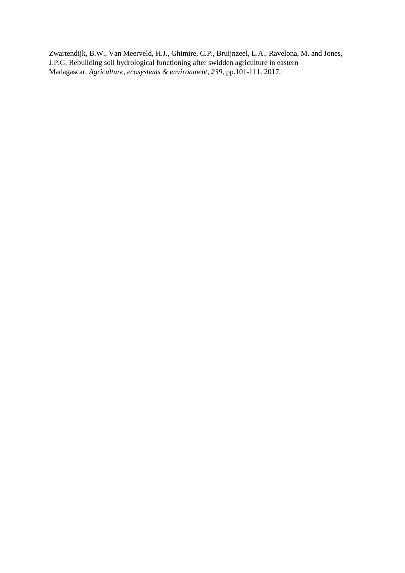Zwartendijk, B.W., Van Meerveld, H.J., Ghimire, C.P., Bruijnzeel, L.A., Ravelona, M. and Jones, J.P.G. Rebuilding soil hydrological functioning after swidden agriculture in eastern Madagascar. *Agriculture, ecosystems & environment*, *239*, pp.101-111. 2017.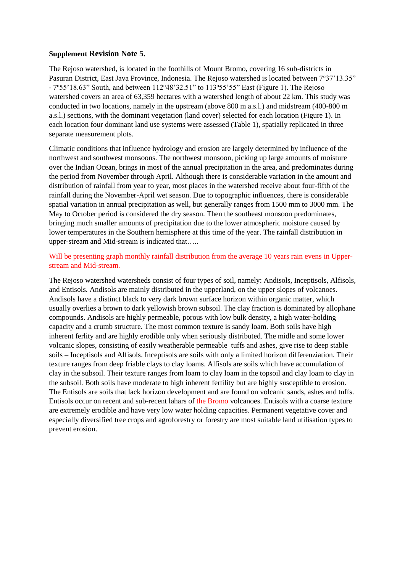### **Supplement Revision Note 5.**

The Rejoso watershed, is located in the foothills of Mount Bromo, covering 16 sub-districts in Pasuran District, East Java Province, Indonesia. The Rejoso watershed is located between 7°37'13.35" - 7°55'18.63" South, and between 112°48'32.51" to 113°55'55" East (Figure 1). The Rejoso watershed covers an area of 63,359 hectares with a watershed length of about 22 km. This study was conducted in two locations, namely in the upstream (above 800 m a.s.l.) and midstream (400-800 m a.s.l.) sections, with the dominant vegetation (land cover) selected for each location (Figure 1). In each location four dominant land use systems were assessed (Table 1), spatially replicated in three separate measurement plots.

Climatic conditions that influence hydrology and erosion are largely determined by influence of the northwest and southwest monsoons. The northwest monsoon, picking up large amounts of moisture over the Indian Ocean, brings in most of the annual precipitation in the area, and predominates during the period from November through April. Although there is considerable variation in the amount and distribution of rainfall from year to year, most places in the watershed receive about four-fifth of the rainfall during the November-April wet season. Due to topographic influences, there is considerable spatial variation in annual precipitation as well, but generally ranges from 1500 mm to 3000 mm. The May to October period is considered the dry season. Then the southeast monsoon predominates, bringing much smaller amounts of precipitation due to the lower atmospheric moisture caused by lower temperatures in the Southern hemisphere at this time of the year. The rainfall distribution in upper-stream and Mid-stream is indicated that…..

### Will be presenting graph monthly rainfall distribution from the average 10 years rain evens in Upperstream and Mid-stream.

The Rejoso watershed watersheds consist of four types of soil, namely: Andisols, Inceptisols, Alfisols, and Entisols. Andisols are mainly distributed in the upperland, on the upper slopes of volcanoes. Andisols have a distinct black to very dark brown surface horizon within organic matter, which usually overlies a brown to dark yellowish brown subsoil. The clay fraction is dominated by allophane compounds. Andisols are highly permeable, porous with low bulk density, a high water-holding capacity and a crumb structure. The most common texture is sandy loam. Both soils have high inherent ferlity and are highly erodible only when seriously distributed. The midle and some lower volcanic slopes, consisting of easily weatherable permeable tuffs and ashes, give rise to deep stable soils – Inceptisols and Alfisols. Inceptisols are soils with only a limited horizon differenziation. Their texture ranges from deep friable clays to clay loams. Alfisols are soils which have accumulation of clay in the subsoil. Their texture ranges from loam to clay loam in the topsoil and clay loam to clay in the subsoil. Both soils have moderate to high inherent fertility but are highly susceptible to erosion. The Entisols are soils that lack horizon development and are found on volcanic sands, ashes and tuffs. Entisols occur on recent and sub-recent lahars of the Bromo volcanoes. Entisols with a coarse texture are extremely erodible and have very low water holding capacities. Permanent vegetative cover and especially diversified tree crops and agroforestry or forestry are most suitable land utilisation types to prevent erosion.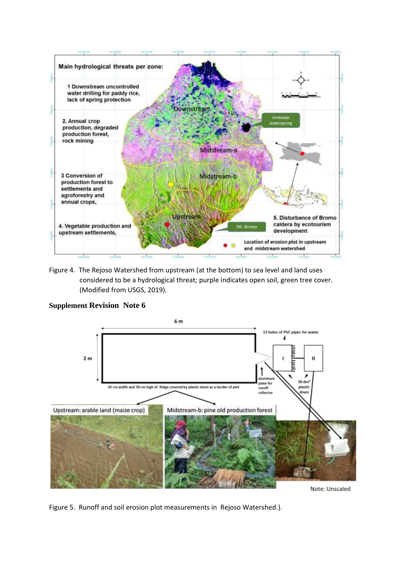

Figure 4. The Rejoso Watershed from upstream (at the bottom) to sea level and land uses considered to be a hydrological threat; purple indicates open soil, green tree cover. (Modified from USGS, 2019).



### **Supplement Revision Note 6**

Figure 5. Runoff and soil erosion plot measurements in Rejoso Watershed.).